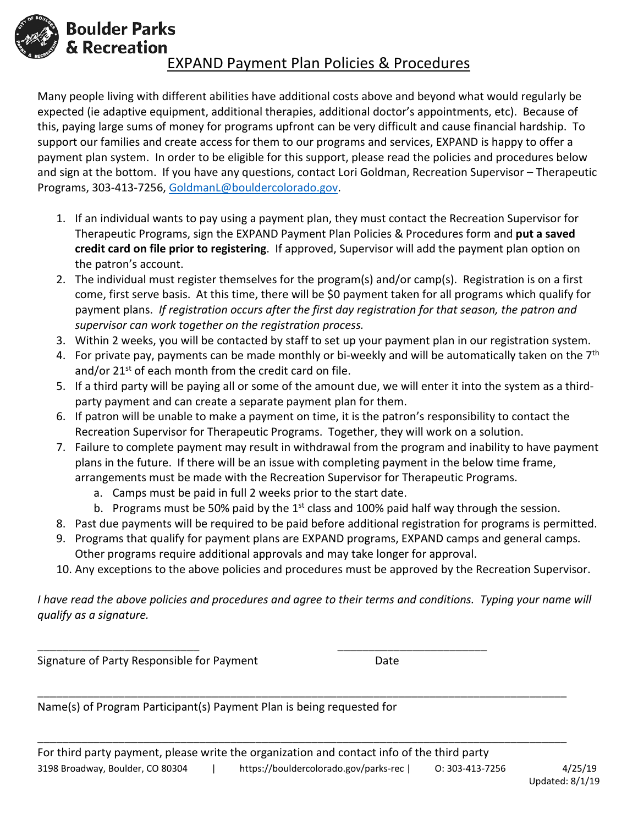

**Boulder Parks** 

# & Recreation EXPAND Payment Plan Policies & Procedures

Many people living with different abilities have additional costs above and beyond what would regularly be expected (ie adaptive equipment, additional therapies, additional doctor's appointments, etc). Because of this, paying large sums of money for programs upfront can be very difficult and cause financial hardship. To support our families and create access for them to our programs and services, EXPAND is happy to offer a payment plan system. In order to be eligible for this support, please read the policies and procedures below and sign at the bottom. If you have any questions, contact Lori Goldman, Recreation Supervisor – Therapeutic Programs, 303-413-7256, [GoldmanL@bouldercolorado.gov.](mailto:GoldmanL@bouldercolorado.gov)

- 1. If an individual wants to pay using a payment plan, they must contact the Recreation Supervisor for Therapeutic Programs, sign the EXPAND Payment Plan Policies & Procedures form and **put a saved credit card on file prior to registering**. If approved, Supervisor will add the payment plan option on the patron's account.
- 2. The individual must register themselves for the program(s) and/or camp(s). Registration is on a first come, first serve basis. At this time, there will be \$0 payment taken for all programs which qualify for payment plans. *If registration occurs after the first day registration for that season, the patron and supervisor can work together on the registration process.*
- 3. Within 2 weeks, you will be contacted by staff to set up your payment plan in our registration system.
- 4. For private pay, payments can be made monthly or bi-weekly and will be automatically taken on the 7<sup>th</sup> and/or  $21^{st}$  of each month from the credit card on file.
- 5. If a third party will be paying all or some of the amount due, we will enter it into the system as a thirdparty payment and can create a separate payment plan for them.
- 6. If patron will be unable to make a payment on time, it is the patron's responsibility to contact the Recreation Supervisor for Therapeutic Programs. Together, they will work on a solution.
- 7. Failure to complete payment may result in withdrawal from the program and inability to have payment plans in the future. If there will be an issue with completing payment in the below time frame, arrangements must be made with the Recreation Supervisor for Therapeutic Programs.
	- a. Camps must be paid in full 2 weeks prior to the start date.
	- b. Programs must be 50% paid by the  $1<sup>st</sup>$  class and 100% paid half way through the session.
- 8. Past due payments will be required to be paid before additional registration for programs is permitted.
- 9. Programs that qualify for payment plans are EXPAND programs, EXPAND camps and general camps. Other programs require additional approvals and may take longer for approval.
- 10. Any exceptions to the above policies and procedures must be approved by the Recreation Supervisor.

*I have read the above policies and procedures and agree to their terms and conditions. Typing your name will qualify as a signature.*

\_\_\_\_\_\_\_\_\_\_\_\_\_\_\_\_\_\_\_\_\_\_\_\_\_\_\_\_\_\_\_\_\_\_\_\_\_\_\_\_\_\_\_\_\_\_\_\_\_\_\_\_\_\_\_\_\_\_\_\_\_\_\_\_\_\_\_\_\_\_\_\_\_\_\_\_\_\_\_\_\_\_\_\_\_

\_\_\_\_\_\_\_\_\_\_\_\_\_\_\_\_\_\_\_\_\_\_\_\_\_\_\_\_\_\_\_\_\_\_\_\_\_\_\_\_\_\_\_\_\_\_\_\_\_\_\_\_\_\_\_\_\_\_\_\_\_\_\_\_\_\_\_\_\_\_\_\_\_\_\_\_\_\_\_\_\_\_\_\_\_

Signature of Party Responsible for Payment Theorem Contracts

Name(s) of Program Participant(s) Payment Plan is being requested for

\_\_\_\_\_\_\_\_\_\_\_\_\_\_\_\_\_\_\_\_\_\_\_\_\_\_ \_\_\_\_\_\_\_\_\_\_\_\_\_\_\_\_\_\_\_\_\_\_\_\_